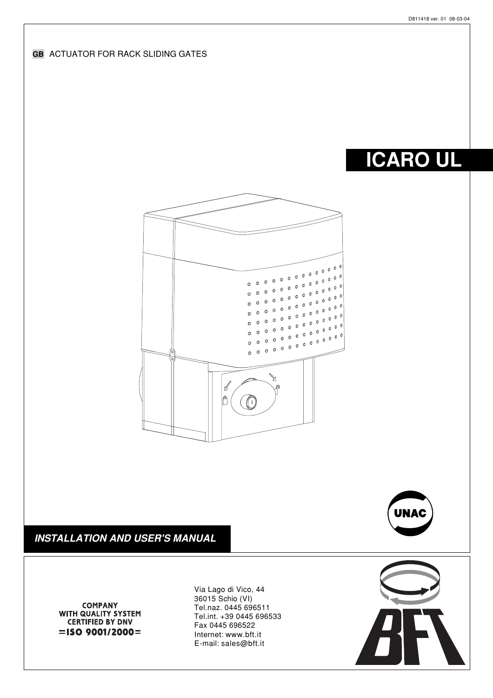

Fax 0445 696522 Internet: www.bft.it E-mail: sales@bft.it

 $=$ ISO 9001/2000=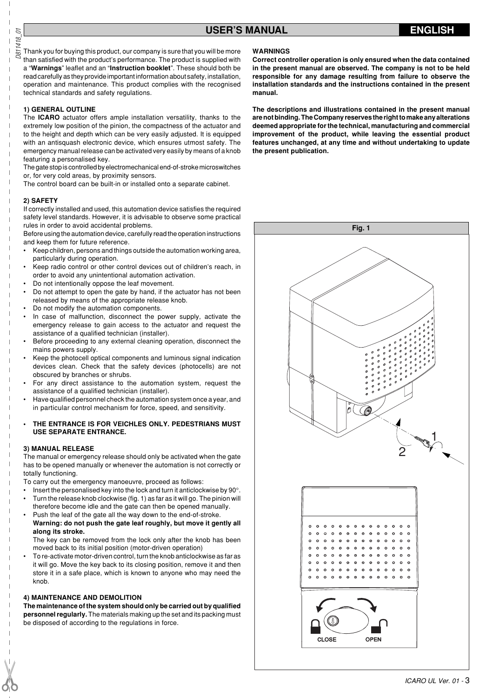Thank you for buying this product, our company is sure that you will be more than satisfied with the product's performance. The product is supplied with a "**Warnings**" leaflet and an "**Instruction booklet**". These should both be read carefully as they provide important information about safety, installation, operation and maintenance. This product complies with the recognised technical standards and safety regulations.

#### **1) GENERAL OUTLINE**

The **ICARO** actuator offers ample installation versatility, thanks to the extremely low position of the pinion, the compactness of the actuator and to the height and depth which can be very easily adjusted. It is equipped with an antisquash electronic device, which ensures utmost safety. The emergency manual release can be activated very easily by means of a knob featuring a personalised key.

The gate stop is controlled by electromechanical end-of-stroke microswitches or, for very cold areas, by proximity sensors.

The control board can be built-in or installed onto a separate cabinet.

#### **2) SAFETY**

D811418\_01

 $\overline{D}$ 0811418

> If correctly installed and used, this automation device satisfies the required safety level standards. However, it is advisable to observe some practical rules in order to avoid accidental problems.

> Before using the automation device, carefully read the operation instructions and keep them for future reference.

- Keep children, persons and things outside the automation working area, particularly during operation.
- Keep radio control or other control devices out of children's reach, in order to avoid any unintentional automation activation.
- Do not intentionally oppose the leaf movement.
- Do not attempt to open the gate by hand, if the actuator has not been released by means of the appropriate release knob.
- Do not modify the automation components.
- In case of malfunction, disconnect the power supply, activate the emergency release to gain access to the actuator and request the assistance of a qualified technician (installer).
- Before proceeding to any external cleaning operation, disconnect the mains powers supply.
- Keep the photocell optical components and luminous signal indication devices clean. Check that the safety devices (photocells) are not obscured by branches or shrubs.
- For any direct assistance to the automation system, request the assistance of a qualified technician (installer).
- Have qualified personnel check the automation system once a year, and in particular control mechanism for force, speed, and sensitivity.

#### **• THE ENTRANCE IS FOR VEICHLES ONLY. PEDESTRIANS MUST USE SEPARATE ENTRANCE.**

#### **3) MANUAL RELEASE**

The manual or emergency release should only be activated when the gate has to be opened manually or whenever the automation is not correctly or totally functioning.

- To carry out the emergency manoeuvre, proceed as follows:
- Insert the personalised key into the lock and turn it anticlockwise by 90°.
- Turn the release knob clockwise (fig. 1) as far as it will go. The pinion will therefore become idle and the gate can then be opened manually.
- Push the leaf of the gate all the way down to the end-of-stroke. **Warning: do not push the gate leaf roughly, but move it gently all along its stroke.**

The key can be removed from the lock only after the knob has been moved back to its initial position (motor-driven operation)

• To re-activate motor-driven control, turn the knob anticlockwise as far as it will go. Move the key back to its closing position, remove it and then store it in a safe place, which is known to anyone who may need the knob.

#### **4) MAINTENANCE AND DEMOLITION**

**The maintenance of the system should only be carried out by qualified personnel regularly.** The materials making up the set and its packing must be disposed of according to the regulations in force.

#### **WARNINGS**

**Correct controller operation is only ensured when the data contained in the present manual are observed. The company is not to be held responsible for any damage resulting from failure to observe the installation standards and the instructions contained in the present manual.**

**The descriptions and illustrations contained in the present manual are not binding. The Company reserves the right to make any alterations deemed appropriate for the technical, manufacturing and commercial improvement of the product, while leaving the essential product features unchanged, at any time and without undertaking to update the present publication.**

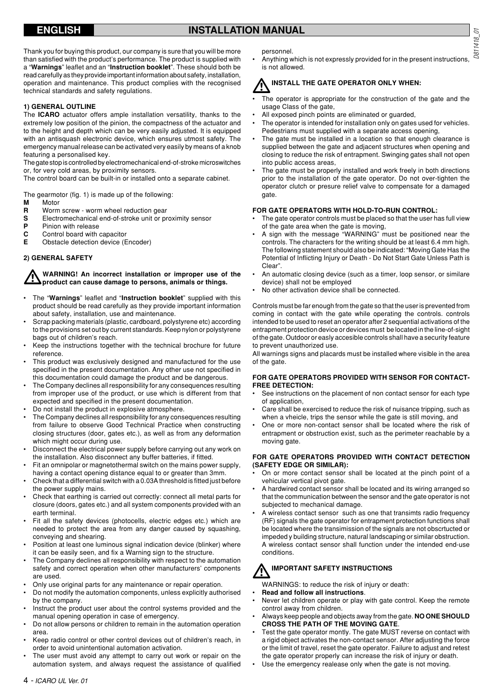# **ENGLISH INSTALLATION MANUAL**

Thank you for buying this product, our company is sure that you will be more than satisfied with the product's performance. The product is supplied with a "**Warnings**" leaflet and an "**Instruction booklet**". These should both be read carefully as they provide important information about safety, installation, operation and maintenance. This product complies with the recognised technical standards and safety regulations.

#### **1) GENERAL OUTLINE**

The **ICARO** actuator offers ample installation versatility, thanks to the extremely low position of the pinion, the compactness of the actuator and to the height and depth which can be very easily adjusted. It is equipped with an antisquash electronic device, which ensures utmost safety. The emergency manual release can be activated very easily by means of a knob featuring a personalised key.

The gate stop is controlled by electromechanical end-of-stroke microswitches or, for very cold areas, by proximity sensors.

The control board can be built-in or installed onto a separate cabinet.

The gearmotor (fig. 1) is made up of the following:<br> $M$  Motor

- **M** Motor<br>**R** Worm
- **R** Worm screw worm wheel reduction gear
- **S** Electromechanical end-of-stroke unit or proximity sensor<br>**P** Pinion with release
- **P** Pinion with release
- **C** Control board with capacitor<br>**E** Obstacle detection device (E
- **Obstacle detection device (Encoder)**

#### **2) GENERAL SAFETY**

**WARNING! An incorrect installation or improper use of the product can cause damage to persons, animals or things.**

- The "**Warnings**" leaflet and "**Instruction booklet**" supplied with this product should be read carefully as they provide important information about safety, installation, use and maintenance.
- Scrap packing materials (plastic, cardboard, polystyrene etc) according to the provisions set out by current standards. Keep nylon or polystyrene bags out of children's reach.
- Keep the instructions together with the technical brochure for future reference.
- This product was exclusively designed and manufactured for the use specified in the present documentation. Any other use not specified in this documentation could damage the product and be dangerous.
- The Company declines all responsibility for any consequences resulting from improper use of the product, or use which is different from that expected and specified in the present documentation.
- Do not install the product in explosive atmosphere.
- The Company declines all responsibility for any consequences resulting from failure to observe Good Technical Practice when constructing closing structures (door, gates etc.), as well as from any deformation which might occur during use.
- Disconnect the electrical power supply before carrying out any work on the installation. Also disconnect any buffer batteries, if fitted.
- Fit an omnipolar or magnetothermal switch on the mains power supply, having a contact opening distance equal to or greater than 3mm.
- Check that a differential switch with a 0.03A threshold is fitted just before the power supply mains.
- Check that earthing is carried out correctly: connect all metal parts for closure (doors, gates etc.) and all system components provided with an earth terminal.
- Fit all the safety devices (photocells, electric edges etc.) which are needed to protect the area from any danger caused by squashing, conveying and shearing.
- Position at least one luminous signal indication device (blinker) where it can be easily seen, and fix a Warning sign to the structure.
- The Company declines all responsibility with respect to the automation safety and correct operation when other manufacturers' components are used.
- Only use original parts for any maintenance or repair operation.
- Do not modify the automation components, unless explicitly authorised by the company.
- Instruct the product user about the control systems provided and the manual opening operation in case of emergency.
- Do not allow persons or children to remain in the automation operation area.
- Keep radio control or other control devices out of children's reach, in order to avoid unintentional automation activation.
- The user must avoid any attempt to carry out work or repair on the automation system, and always request the assistance of qualified

personnel.

• Anything which is not expressly provided for in the present instructions, is not allowed.

# **INSTALL THE GATE OPERATOR ONLY WHEN:**

- The operator is appropriate for the construction of the gate and the usage Class of the gate,
- All exposed pinch points are eliminated or guarded,
- The operator is intended for installation only on gates used for vehicles. Pedestrians must supplied with a separate access opening.
- The gate must be installed in a location so that enough clearance is supplied between the gate and adjacent structures when opening and closing to reduce the risk of entrapment. Swinging gates shall not open into public access areas,
- The gate must be properly installed and work freely in both directions prior to the installation of the gate operator. Do not over-tighten the operator clutch or presure relief valve to compensate for a damaged gate.

#### **FOR GATE OPERATORS WITH HOLD-TO-RUN CONTROL:**

- The gate operator controls must be placed so that the user has full view of the gate area when the gate is moving,
- A sign with the message "WARNING" must be positioned near the controls. The characters for the writing should be at least 6.4 mm high. The following statement should also be indicated: "Moving Gate Has the Potential of Inflicting Injury or Death - Do Not Start Gate Unless Path is Clear".
- An automatic closing device (such as a timer, loop sensor, or similare device) shall not be employed
- No other activation device shall be connected.

Controls must be far enough from the gate so that the user is prevented from coming in contact with the gate while operating the controls. controls intended to be used to reset an operator after 2 sequential activations of the entrapment protection device or devices must be located in the line-of-sight of the gate. Outdoor or easly accesible controls shall have a security feature to prevent unauthorized use.

All warnings signs and placards must be installed where visible in the area of the gate.

#### **FOR GATE OPERATORS PROVIDED WITH SENSOR FOR CONTACT-FREE DETECTION:**

- See instructions on the placement of non contact sensor for each type of application,
- Care shall be exercised to reduce the risk of nuisance tripping, such as when a vheicle, trips the sensor while the gate is still moving, and
- One or more non-contact sensor shall be located where the risk of entrapment or obstruction exist, such as the perimeter reachable by a moving gate.

#### **FOR GATE OPERATORS PROVIDED WITH CONTACT DETECTION (SAFETY EDGE OR SIMILAR):**

- On or more contact sensor shall be located at the pinch point of a vehicular vertical pivot gate.
- A hardwired contact sensor shall be located and its wiring arranged so that the communication between the sensor and the gate operator is not subjected to mechanical damage.
- A wireless contact sensor such as one that transimts radio frequency (RF) signals the gate operator for entrapment protection functions shall be located where the transimission of the signals are not obscrtucted or impeded y building structure, natural landscaping or similar obstruction. A wireless contact sensor shall function under the intended end-use conditions.

# **IMPORTANT SAFETY INSTRUCTIONS**

- WARNINGS: to reduce the risk of injury or death:
- **Read and follow all instructions**.
- Never let children operate or play with gate control. Keep the remote control away from children.
- Always keep people and objects away from the gate. **NO ONE SHOULD CROSS THE PATH OF THE MOVING GATE**.
- Test the gate operator montly. The gate MUST reverse on contact with a rigid object activates the non-contact sensor. After adjusting the force or the limit of travel, reset the gate operator. Failure to adjust and retest the gate operator properly can increase the risk of injury or death.
- Use the emergency realease only when the gate is not moving.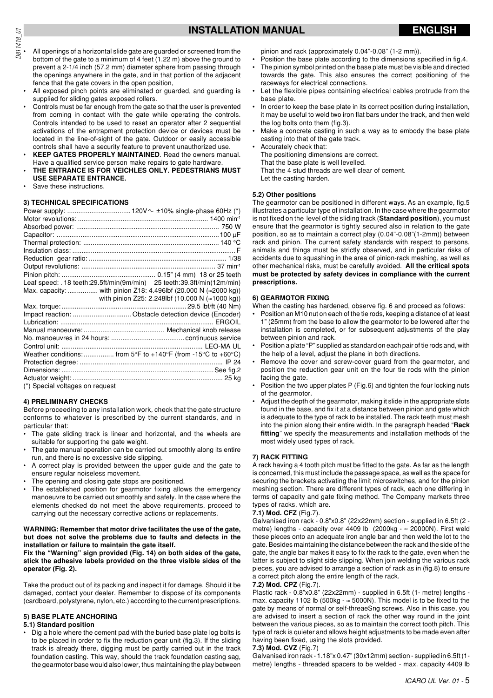- $\frac{1}{20}$ <br>  $\frac{1}{20}$  All openings of a horizontal slide gate are guarded or screened from the bottom of the gate to a minimum of 4 feet (1.22 m) above the ground to prevent a 2-1/4 inch (57.2 mm) diameter sphere from passing through the openings anywhere in the gate, and in that portion of the adjacent fence that the gate covers in the open position,
	- All exposed pinch points are eliminated or guarded, and guarding is supplied for sliding gates exposed rollers.
	- Controls must be far enough from the gate so that the user is prevented from coming in contact with the gate while operating the controls. Controls intended to be used to reset an operator after 2 sequential activations of the entrapment protection device or devices must be located in the line-of-sight of the gate. Outdoor or easily accessible controls shall have a security feature to prevent unauthorized use.
	- **KEEP GATES PROPERLY MAINTAINED**. Read the owners manual. Have a qualified service person make repairs to gate hardware.
	- **• THE ENTRANCE IS FOR VEICHLES ONLY. PEDESTRIANS MUST USE SEPARATE ENTRANCE.**
	- Save these instructions.

# **3) TECHNICAL SPECIFICATIONS**

|                                 | Leaf speed: . 18 teeth:29.5ft/min(9m/min) 25 teeth:39.3ft/min(12m/min)                    |
|---------------------------------|-------------------------------------------------------------------------------------------|
|                                 | Max. capacity:  with pinion Z18: 4.496lbf (20.000 N ( $\approx$ 2000 kg))                 |
|                                 | with pinion Z25: 2.248lbf (10.000 N (≈1000 kg))                                           |
|                                 |                                                                                           |
|                                 | Impact reaction:  Obstacle detection device (Encoder)                                     |
|                                 |                                                                                           |
|                                 |                                                                                           |
|                                 |                                                                                           |
|                                 |                                                                                           |
|                                 | Weather conditions:  from $5^{\circ}F$ to $+140^{\circ}F$ (from -15°C to $+60^{\circ}C$ ) |
|                                 |                                                                                           |
|                                 |                                                                                           |
|                                 |                                                                                           |
| (*) Special voltages on request |                                                                                           |

# **4) PRELIMINARY CHECKS**

Before proceeding to any installation work, check that the gate structure conforms to whatever is prescribed by the current standards, and in particular that:

- The gate sliding track is linear and horizontal, and the wheels are suitable for supporting the gate weight.
- The gate manual operation can be carried out smoothly along its entire run, and there is no excessive side slipping.
- A correct play is provided between the upper guide and the gate to ensure regular noiseless movement.
- The opening and closing gate stops are positioned.
- The established position for gearmotor fixing allows the emergency manoeuvre to be carried out smoothly and safely. In the case where the elements checked do not meet the above requirements, proceed to carrying out the necessary corrective actions or replacements.

#### **WARNING: Remember that motor drive facilitates the use of the gate, but does not solve the problems due to faults and defects in the installation or failure to maintain the gate itself.**

#### **Fix the "Warning" sign provided (Fig. 14) on both sides of the gate, stick the adhesive labels provided on the three visible sides of the operator (Fig. 2).**

Take the product out of its packing and inspect it for damage. Should it be damaged, contact your dealer. Remember to dispose of its components (cardboard, polystyrene, nylon, etc.) according to the current prescriptions.

# **5) BASE PLATE ANCHORING**

# **5.1) Standard position**

• Dig a hole where the cement pad with the buried base plate log bolts is to be placed in order to fix the reduction gear unit (fig.3). If the sliding track is already there, digging must be partly carried out in the track foundation casting. This way, should the track foundation casting sag, the gearmotor base would also lower, thus maintaining the play between pinion and rack (approximately 0.04"-0.08" (1-2 mm)).

- Position the base plate according to the dimensions specified in fig.4.
- The pinion symbol printed on the base plate must be visible and directed towards the gate. This also ensures the correct positioning of the raceways for electrical connections.
- Let the flexible pipes containing electrical cables protrude from the base plate.
- In order to keep the base plate in its correct position during installation, it may be useful to weld two iron flat bars under the track, and then weld the log bolts onto them (fig.3).
- Make a concrete casting in such a way as to embody the base plate casting into that of the gate track.
- Accurately check that: The positioning dimensions are correct. That the base plate is well levelled. That the 4 stud threads are well clear of cement. Let the casting harden.

# **5.2) Other positions**

The gearmotor can be positioned in different ways. As an example, fig.5 illustrates a particular type of installation. In the case where the gearmotor is not fixed on the level of the sliding track (**Standard position**), you must ensure that the gearmotor is tightly secured also in relation to the gate position, so as to maintain a correct play (0.04"-0.08"(1-2mm)) between rack and pinion. The current safety standards with respect to persons, animals and things must be strictly observed, and in particular risks of accidents due to squashing in the area of pinion-rack meshing, as well as other mechanical risks, must be carefully avoided. **All the critical spots must be protected by safety devices in compliance with the current prescriptions.**

# **6) GEARMOTOR FIXING**

When the casting has hardened, observe fig. 6 and proceed as follows:

- Position an M10 nut on each of the tie rods, keeping a distance of at least 1" (25mm) from the base to allow the gearmotor to be lowered after the installation is completed, or for subsequent adjustments of the play between pinion and rack.
- Position a plate "P" supplied as standard on each pair of tie rods and, with the help of a level, adjust the plane in both directions.
- Remove the cover and screw-cover guard from the gearmotor, and position the reduction gear unit on the four tie rods with the pinion facing the gate.
- Position the two upper plates P (Fig.6) and tighten the four locking nuts of the gearmotor.
- Adjust the depth of the gearmotor, making it slide in the appropriate slots found in the base, and fix it at a distance between pinion and gate which is adequate to the type of rack to be installed. The rack teeth must mesh into the pinion along their entire width. In the paragraph headed "**Rack fitting**" we specify the measurements and installation methods of the most widely used types of rack.

# **7) RACK FITTING**

A rack having a 4 tooth pitch must be fitted to the gate. As far as the length is concerned, this must include the passage space, as well as the space for securing the brackets activating the limit microswitches, and for the pinion meshing section. There are different types of rack, each one differing in terms of capacity and gate fixing method. The Company markets three types of racks, which are.

## **7.1) Mod. CFZ** (Fig.7).

Galvanised iron rack - 0.8"x0.8" (22x22mm) section - supplied in 6.5ft (2 metre) lengths - capacity over 4409 lb (2000kg -  $\approx$  20000N). First weld these pieces onto an adequate iron angle bar and then weld the lot to the gate. Besides maintaining the distance between the rack and the side of the gate, the angle bar makes it easy to fix the rack to the gate, even when the latter is subject to slight side slipping. When join welding the various rack pieces, you are advised to arrange a section of rack as in (fig.8) to ensure a correct pitch along the entire length of the rack.

# **7.2) Mod. CPZ** (Fig.7).

Plastic rack - 0.8"x0.8" (22x22mm) - supplied in 6.5ft (1- metre) lengths max. capacity 1102 lb (500kg -  $\approx$  5000N). This model is to be fixed to the mand supersty, or normal or self-threaeSng screws. Also in this case, you are advised to insert a section of rack the other way round in the joint between the various pieces, so as to maintain the correct tooth pitch. This type of rack is quieter and allows height adjustments to be made even after having been fixed, using the slots provided.

## **7.3) Mod. CVZ** (Fig.7)

Galvanised iron rack - 1.18"x 0.47" (30x12mm) section - supplied in 6.5ft (1 metre) lengths - threaded spacers to be welded - max. capacity 4409 lb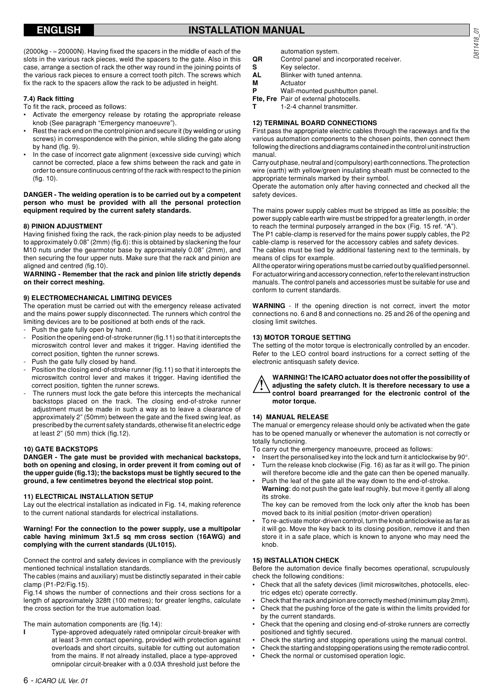# **ENGLISH INSTALLATION MANUAL**

(2000kg - ≈ 20000N). Having fixed the spacers in the middle of each of the slots in the various rack pieces, weld the spacers to the gate. Also in this case, arrange a section of rack the other way round in the joining points of the various rack pieces to ensure a correct tooth pitch. The screws which fix the rack to the spacers allow the rack to be adjusted in height.

#### **7.4) Rack fitting**

To fit the rack, proceed as follows:

- Activate the emergency release by rotating the appropriate release knob (See paragraph "Emergency manoeuvre").
- Rest the rack end on the control pinion and secure it (by welding or using screws) in correspondence with the pinion, while sliding the gate along by hand (fig. 9).
- In the case of incorrect gate alignment (excessive side curving) which cannot be corrected, place a few shims between the rack and gate in order to ensure continuous centring of the rack with respect to the pinion (fig. 10).

#### **DANGER - The welding operation is to be carried out by a competent person who must be provided with all the personal protection equipment required by the current safety standards.**

#### **8) PINION ADJUSTMENT**

Having finished fixing the rack, the rack-pinion play needs to be adjusted to approximately 0.08" (2mm) (fig.6): this is obtained by slackening the four M10 nuts under the gearmotor base by approximately 0.08" (2mm), and then securing the four upper nuts. Make sure that the rack and pinion are aligned and centred (fig.10).

#### **WARNING - Remember that the rack and pinion life strictly depends on their correct meshing.**

#### **9) ELECTROMECHANICAL LIMITING DEVICES**

The operation must be carried out with the emergency release activated and the mains power supply disconnected. The runners which control the limiting devices are to be positioned at both ends of the rack.

- Push the gate fully open by hand.
- Position the opening end-of-stroke runner (fig.11) so that it intercepts the microswitch control lever and makes it trigger. Having identified the correct position, tighten the runner screws.
- Push the gate fully closed by hand.
- Position the closing end-of-stroke runner (fig.11) so that it intercepts the microswitch control lever and makes it trigger. Having identified the correct position, tighten the runner screws.
- The runners must lock the gate before this intercepts the mechanical backstops placed on the track. The closing end-of-stroke runner adjustment must be made in such a way as to leave a clearance of approximately 2" (50mm) between the gate and the fixed swing leaf, as prescribed by the current safety standards, otherwise fit an electric edge at least 2" (50 mm) thick (fig.12).

#### **10) GATE BACKSTOPS**

**DANGER - The gate must be provided with mechanical backstops, both on opening and closing, in order prevent it from coming out of the upper guide (fig.13); the backstops must be tightly secured to the ground, a few centimetres beyond the electrical stop point.**

#### **11) ELECTRICAL INSTALLATION SETUP**

Lay out the electrical installation as indicated in Fig. 14, making reference to the current national standards for electrical installations.

#### **Warning! For the connection to the power supply, use a multipolar cable having minimum 3x1.5 sq mm cross section (16AWG) and complying with the current standards (UL1015).**

Connect the control and safety devices in compliance with the previously mentioned technical installation standards.

The cables (mains and auxiliary) must be distinctly separated in their cable clamp (P1-P2/Fig.15).

Fig.14 shows the number of connections and their cross sections for a length of approximately 328ft (100 metres); for greater lengths, calculate the cross section for the true automation load.

The main automation components are (fig.14):

**I** Type-approved adequately rated omnipolar circuit-breaker with at least 3-mm contact opening, provided with protection against overloads and short circuits, suitable for cutting out automation from the mains. If not already installed, place a type-approved omnipolar circuit-breaker with a 0.03A threshold just before the

automation system.

- **QR** Control panel and incorporated receiver.
- **S** Key selector.<br>**AL** Blinker with to
- **Blinker with tuned antenna.**
- **M** Actuator
- **P** Wall-mounted pushbutton panel.

**Fte, Fre** Pair of external photocells.

**T** 1-2-4 channel transmitter.

#### **12) TERMINAL BOARD CONNECTIONS**

First pass the appropriate electric cables through the raceways and fix the various automation components to the chosen points, then connect them following the directions and diagrams contained in the control unit instruction manual.

Carry out phase, neutral and (compulsory) earth connections. The protection wire (earth) with yellow/green insulating sheath must be connected to the appropriate terminals marked by their symbol.

Operate the automation only after having connected and checked all the safety devices.

The mains power supply cables must be stripped as little as possible; the power supply cable earth wire must be stripped for a greater length, in order to reach the terminal purposely arranged in the box (Fig. 15 ref. "A").

The P1 cable-clamp is reserved for the mains power supply cables, the P2 cable-clamp is reserved for the accessory cables and safety devices.

The cables must be tied by additional fastening next to the terminals, by means of clips for example.

All the operator wiring operations must be carried out by qualified personnel. For actuator wiring and accessory connection, refer to the relevant instruction manuals. The control panels and accessories must be suitable for use and conform to current standards.

**WARNING** - If the opening direction is not correct, invert the motor connections no. 6 and 8 and connections no. 25 and 26 of the opening and closing limit switches.

#### **13) MOTOR TORQUE SETTING**

The setting of the motor torque is electronically controlled by an encoder. Refer to the LEO control board instructions for a correct setting of the electronic antisquash safety device.



**WARNING! The ICARO actuator does not offer the possibility of adjusting the safety clutch. It is therefore necessary to use a control board prearranged for the electronic control of the motor torque.**

#### **14) MANUAL RELEASE**

The manual or emergency release should only be activated when the gate has to be opened manually or whenever the automation is not correctly or totally functioning.

To carry out the emergency manoeuvre, proceed as follows:

- Insert the personalised key into the lock and turn it anticlockwise by 90°.
- Turn the release knob clockwise (Fig. 16) as far as it will go. The pinion will therefore become idle and the gate can then be opened manually.
- Push the leaf of the gate all the way down to the end-of-stroke. **Warning**: do not push the gate leaf roughly, but move it gently all along its stroke.

The key can be removed from the lock only after the knob has been moved back to its initial position (motor-driven operation)

• To re-activate motor-driven control, turn the knob anticlockwise as far as it will go. Move the key back to its closing position, remove it and then store it in a safe place, which is known to anyone who may need the knob.

### **15) INSTALLATION CHECK**

Before the automation device finally becomes operational, scrupulously check the following conditions:

- Check that all the safety devices (limit microswitches, photocells, electric edges etc) operate correctly.
- Check that the rack and pinion are correctly meshed (minimum play 2mm). • Check that the pushing force of the gate is within the limits provided for
- by the current standards.
- Check that the opening and closing end-of-stroke runners are correctly positioned and tightly secured.
- Check the starting and stopping operations using the manual control.
- Check the starting and stopping operations using the remote radio control.
- Check the normal or customised operation logic.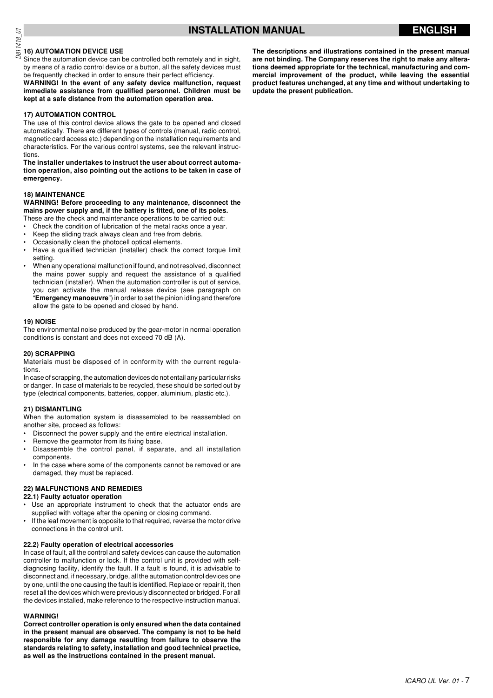# **Definition**<br>02<br>2015 16) AUTOMATION DEVICE USE

Since the automation device can be controlled both remotely and in sight, by means of a radio control device or a button, all the safety devices must be frequently checked in order to ensure their perfect efficiency.

**WARNING! In the event of any safety device malfunction, request immediate assistance from qualified personnel. Children must be kept at a safe distance from the automation operation area.**

#### **17) AUTOMATION CONTROL**

The use of this control device allows the gate to be opened and closed automatically. There are different types of controls (manual, radio control, magnetic card access etc.) depending on the installation requirements and characteristics. For the various control systems, see the relevant instructions.

**The installer undertakes to instruct the user about correct automation operation, also pointing out the actions to be taken in case of emergency.**

#### **18) MAINTENANCE**

**WARNING! Before proceeding to any maintenance, disconnect the mains power supply and, if the battery is fitted, one of its poles.**

- These are the check and maintenance operations to be carried out: • Check the condition of lubrication of the metal racks once a year.
- Keep the sliding track always clean and free from debris.
- Occasionally clean the photocell optical elements.
- Have a qualified technician (installer) check the correct torque limit setting.
- When any operational malfunction if found, and not resolved, disconnect the mains power supply and request the assistance of a qualified technician (installer). When the automation controller is out of service, you can activate the manual release device (see paragraph on "**Emergency manoeuvre**") in order to set the pinion idling and therefore allow the gate to be opened and closed by hand.

#### **19) NOISE**

The environmental noise produced by the gear-motor in normal operation conditions is constant and does not exceed 70 dB (A).

#### **20) SCRAPPING**

Materials must be disposed of in conformity with the current regulations.

In case of scrapping, the automation devices do not entail any particular risks or danger. In case of materials to be recycled, these should be sorted out by type (electrical components, batteries, copper, aluminium, plastic etc.).

#### **21) DISMANTLING**

When the automation system is disassembled to be reassembled on another site, proceed as follows:

- Disconnect the power supply and the entire electrical installation.
- Remove the gearmotor from its fixing base.
- Disassemble the control panel, if separate, and all installation components.
- In the case where some of the components cannot be removed or are damaged, they must be replaced.

#### **22) MALFUNCTIONS AND REMEDIES**

#### **22.1) Faulty actuator operation**

- Use an appropriate instrument to check that the actuator ends are supplied with voltage after the opening or closing command.
- If the leaf movement is opposite to that required, reverse the motor drive connections in the control unit.

#### **22.2) Faulty operation of electrical accessories**

In case of fault, all the control and safety devices can cause the automation controller to malfunction or lock. If the control unit is provided with selfdiagnosing facility, identify the fault. If a fault is found, it is advisable to disconnect and, if necessary, bridge, all the automation control devices one by one, until the one causing the fault is identified. Replace or repair it, then reset all the devices which were previously disconnected or bridged. For all the devices installed, make reference to the respective instruction manual.

#### **WARNING!**

**Correct controller operation is only ensured when the data contained in the present manual are observed. The company is not to be held responsible for any damage resulting from failure to observe the standards relating to safety, installation and good technical practice, as well as the instructions contained in the present manual.**

**The descriptions and illustrations contained in the present manual are not binding. The Company reserves the right to make any alterations deemed appropriate for the technical, manufacturing and commercial improvement of the product, while leaving the essential product features unchanged, at any time and without undertaking to update the present publication.**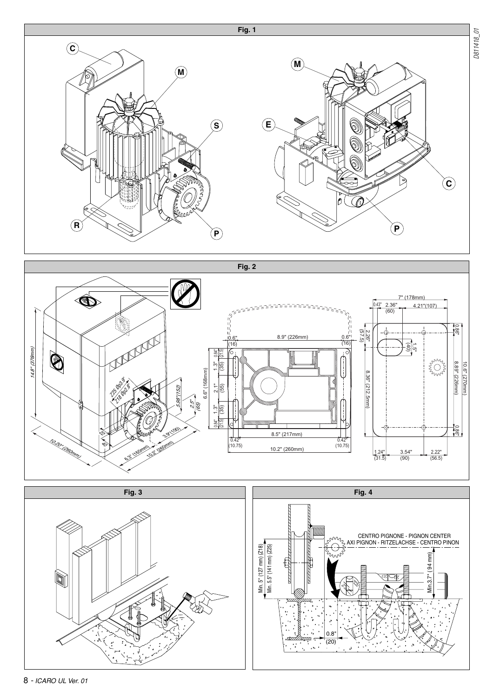





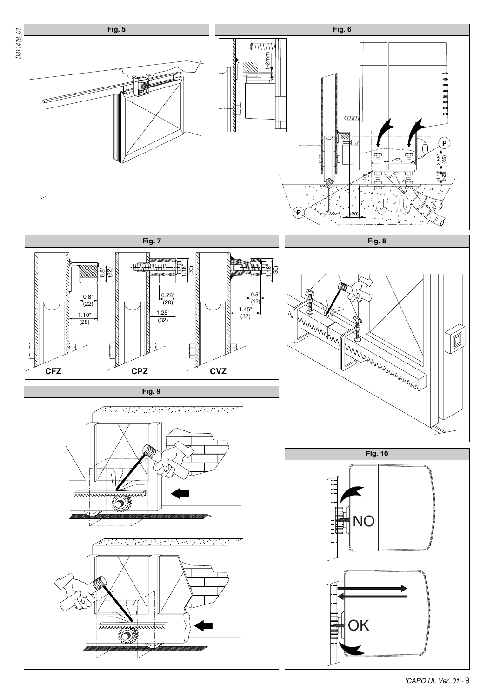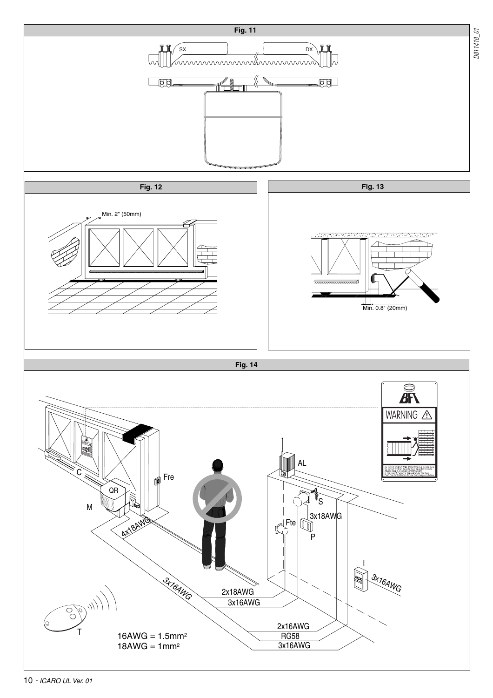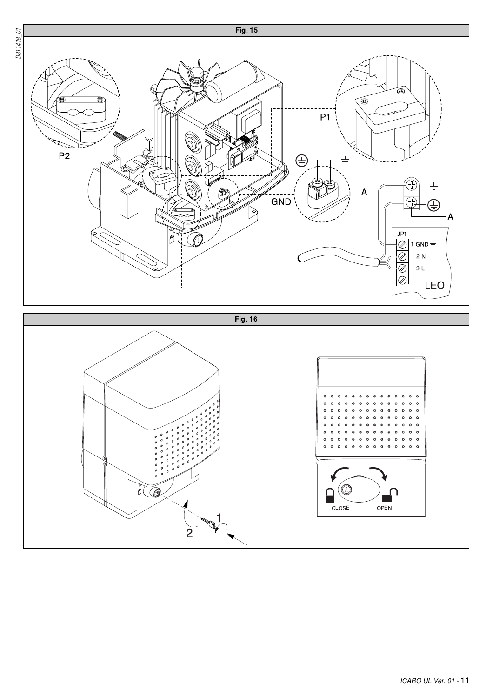